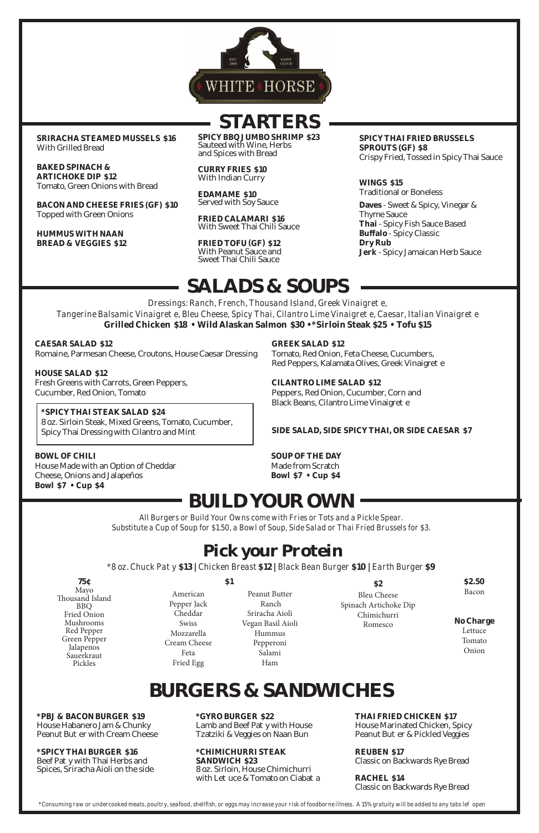#### **\*PBJ & BACON BURGER \$19**

House Habanero Jam & Chunky Peanut Bu er with Cream Cheese

Beef Pa y with Thai Herbs and Spices, Sriracha Aioli on the side

#### **\*SPICY THAI BURGER \$16**

Lamb and Beef Pa y with House Tzatziki & Veggies on Naan Bun

8 oz. Sirloin, House Chimichurri with Le  $\,\uceq$  & Tomato on Ciaba a

**\*GYRO BURGER \$22**

House Marinated Chicken, Spicy Peanut Bu er & Pickled Veggies

#### **\*CHIMICHURRI STEAK SANDWICH \$23**

**THAI FRIED CHICKEN \$17**

**REUBEN \$17**  Classic on Backwards Rye Bread

**RACHEL \$14** Classic on Backwards Rye Bread

*\*Consuming raw or undercooked meats, poultry, seafood, shellfish, or eggs may increase your risk of foodborne illness. A 15% gratuity will be added to any tabs left open*



# **STARTERS**

**SRIRACHA STEAMED MUSSELS \$16** With Grilled Bread

**BAKED SPINACH & ARTICHOKE DIP \$12** Tomato, Green Onions with Bread

**BACON AND CHEESE FRIES (GF) \$10** Topped with Green Onions

> *Dressings: Ranch, French, Thousand Island, Greek Vinaigre e, Tangerine Balsamic Vinaigre e, Bleu Cheese, Spicy Thai, Cilantro Lime Vinaigre e, Caesar, Italian Vinaigre e* **Grilled Chicken \$18 • Wild Alaskan Salmon \$30 • \*Sirloin Steak \$25 • Tofu \$15**

**HUMMUS WITH NAAN BREAD & VEGGIES \$12** **SPICY BBQ JUMBO SHRIMP \$23** Sauteed with Wine, Herbs and Spices with Bread

> Tomato, Red Onion, Feta Cheese, Cucumbers, Red Peppers, Kalamata Olives, Greek Vinaigre e

**CURRY FRIES \$10** With Indian Curry

**EDAMAME \$10** Served with Soy Sauce

> Peppers, Red Onion, Cucumber, Corn and Black Beans, Cilantro Lime Vinaigre e

**FRIED CALAMARI \$16** With Sweet Thai Chili Sauce

**FRIED TOFU (GF) \$12** With Peanut Sauce and Sweet Thai Chili Sauce

#### **SPICY THAI FRIED BRUSSELS SPROUTS (GF) \$8** Crispy Fried, Tossed in Spicy Thai Sauce

**WINGS \$15**  Traditional or Boneless

**Daves** - Sweet & Spicy, Vinegar & Thyme Sauce **Thai** - Spicy Fish Sauce Based **Bu alo** - Spicy Classic **Dry Rub Jerk** - Spicy Jamaican Herb Sauce

# **SALADS & SOUPS**

**CAESAR SALAD \$12**  Romaine, Parmesan Cheese, Croutons, House Caesar Dressing

**HOUSE SALAD \$12** Fresh Greens with Carrots, Green Peppers, Cucumber, Red Onion, Tomato

### **\*SPICY THAI STEAK SALAD \$24**

8 oz. Sirloin Steak, Mixed Greens, Tomato, Cucumber, Spicy Thai Dressing with Cilantro and Mint

### **GREEK SALAD \$12**

**CILANTRO LIME SALAD \$12**

### **SIDE SALAD, SIDE SPICY THAI, OR SIDE CAESAR \$7**

### **BOWL OF CHILI**

House Made with an Option of Cheddar Cheese, Onions and Jalapeños **Bowl \$7 • Cup \$4**

### **SOUP OF THE DAY**

Made from Scratch **Bowl \$7 • Cup \$4**

**75¢** Mayo Thousand Island BBQ

Fried Onion Mushrooms Red Pepper Green Pepper **Jalapenos Sauerkraut** Pickles

**\$2.50** Bacon

**No Charge**

Lettuce Tomato Onion

# **BUILD YOUR OWN**

*All Burgers or Build Your Owns come with Fries or Tots and a Pickle Spear. Substitute a Cup of Soup for \$1.50, a Bowl of Soup, Side Salad or Thai Fried Brussels for \$3.*

### **Pick your Protein**

*\*8 oz. Chuck Patty* **\$13 |** *Chicken Breast* **\$12 |** *Black Bean Burger* **\$10 |** *Earth Burger* **\$9**

**\$2**  Bleu Cheese

Spinach Artichoke Dip

Chimichurri Romesco

**\$1**

American Pepper Jack

Cheddar Swiss Mozzarella Cream Cheese Feta Fried Egg

Peanut Butter Ranch

Sriracha Aioli Vegan Basil Aioli Hummus Pepperoni Salami Ham

## **BURGERS & SANDWICHES**